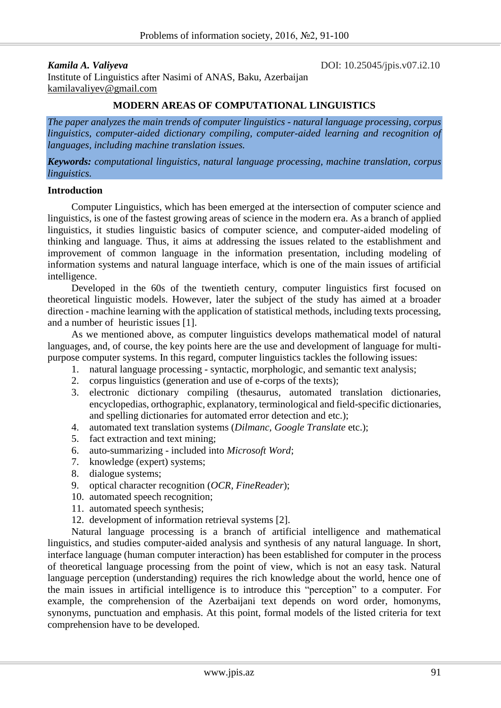*Kamila A. Valiyeva* **DOI:** 10.25045/jpis.v07.i2.10

Institute of Linguistics after Nasimi of ANAS, Baku, Azerbaijan [kamilavaliyev@gmail.com](mailto:kamilavaliyev@gmail.com)

## **MODERN AREAS OF COMPUTATIONAL LINGUISTICS**

*The paper analyzes the main trends of computer linguistics - natural language processing, corpus linguistics, computer-aided dictionary compiling, computer-aided learning and recognition of languages, including machine translation issues.*

*Keywords: computational linguistics, natural language processing, machine translation, corpus linguistics.*

### **Introduction**

Computer Linguistics, which has been emerged at the intersection of computer science and linguistics, is one of the fastest growing areas of science in the modern era. As a branch of applied linguistics, it studies linguistic basics of computer science, and computer-aided modeling of thinking and language. Thus, it aims at addressing the issues related to the establishment and improvement of common language in the information presentation, including modeling of information systems and natural language interface, which is one of the main issues of artificial intelligence.

Developed in the 60s of the twentieth century, computer linguistics first focused on theoretical linguistic models. However, later the subject of the study has aimed at a broader direction - machine learning with the application of statistical methods, including texts processing, and a number of heuristic issues [1].

As we mentioned above, as computer linguistics develops mathematical model of natural languages, and, of course, the key points here are the use and development of language for multipurpose computer systems. In this regard, computer linguistics tackles the following issues:

- 1. natural language processing syntactic, morphologic, and semantic text analysis;
- 2. corpus linguistics (generation and use of e-corps of the texts);
- 3. electronic dictionary compiling (thesaurus, automated translation dictionaries, encyclopedias, orthographic, explanatory, terminological and field-specific dictionaries, and spelling dictionaries for automated error detection and etc.);
- 4. automated text translation systems (*Dilmanc, Google Translate* etc.);
- 5. fact extraction and text mining;
- 6. auto-summarizing included into *Microsoft Word*;
- 7. knowledge (expert) systems;
- 8. dialogue systems;
- 9. optical character recognition (*OCR, FineReader*);
- 10. automated speech recognition;
- 11. automated speech synthesis;
- 12. development of information retrieval systems [2].

Natural language processing is a branch of artificial intelligence and mathematical linguistics, and studies computer-aided analysis and synthesis of any natural language. In short, interface language (human computer interaction) has been established for computer in the process of theoretical language processing from the point of view, which is not an easy task. Natural language perception (understanding) requires the rich knowledge about the world, hence one of the main issues in artificial intelligence is to introduce this "perception" to a computer. For example, the comprehension of the Azerbaijani text depends on word order, homonyms, synonyms, punctuation and emphasis. At this point, formal models of the listed criteria for text comprehension have to be developed.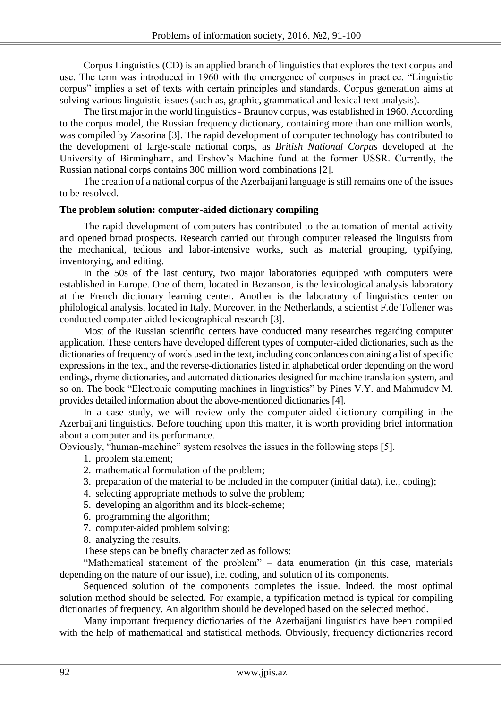Corpus Linguistics (CD) is an applied branch of linguistics that explores the text corpus and use. The term was introduced in 1960 with the emergence of corpuses in practice. "Linguistic corpus" implies a set of texts with certain principles and standards. Corpus generation aims at solving various linguistic issues (such as, graphic, grammatical and lexical text analysis).

The first major in the world linguistics - Braunov corpus, was established in 1960. According to the corpus model, the Russian frequency dictionary, containing more than one million words, was compiled by Zasorina [3]. The rapid development of computer technology has contributed to the development of large-scale national corps, as *British National Corpus* developed at the University of Birmingham, and Ershov's Machine fund at the former USSR. Currently, the Russian national corps contains 300 million word combinations [2].

The creation of a national corpus of the Azerbaijani language is still remains one of the issues to be resolved.

## **The problem solution: computer-aided dictionary compiling**

The rapid development of computers has contributed to the automation of mental activity and opened broad prospects. Research carried out through computer released the linguists from the mechanical, tedious and labor-intensive works, such as material grouping, typifying, inventorying, and editing.

In the 50s of the last century, two major laboratories equipped with computers were established in Europe. One of them, located in Bezanson, is the lexicological analysis laboratory at the French dictionary learning center. Another is the laboratory of linguistics center on philological analysis, located in Italy. Moreover, in the Netherlands, a scientist F.de Tollener was conducted computer-aided lexicographical research [3].

Most of the Russian scientific centers have conducted many researches regarding computer application. These centers have developed different types of computer-aided dictionaries, such as the dictionaries of frequency of words used in the text, including concordances containing a list of specific expressions in the text, and the reverse-dictionaries listed in alphabetical order depending on the word endings, rhyme dictionaries, and automated dictionaries designed for machine translation system, and so on. The book "Electronic computing machines in linguistics" by Pines V.Y. and Mahmudov M. provides detailed information about the above-mentioned dictionaries [4].

In a case study, we will review only the computer-aided dictionary compiling in the Azerbaijani linguistics. Before touching upon this matter, it is worth providing brief information about a computer and its performance.

Obviously, "human-machine" system resolves the issues in the following steps [5].

- 1. problem statement;
- 2. mathematical formulation of the problem;
- 3. preparation of the material to be included in the computer (initial data), i.e., coding);
- 4. selecting appropriate methods to solve the problem;
- 5. developing an algorithm and its block-scheme;
- 6. programming the algorithm;
- 7. computer-aided problem solving;
- 8. analyzing the results.

These steps can be briefly characterized as follows:

"Mathematical statement of the problem" – data enumeration (in this case, materials depending on the nature of our issue), i.e. coding, and solution of its components.

Sequenced solution of the components completes the issue. Indeed, the most optimal solution method should be selected. For example, a typification method is typical for compiling dictionaries of frequency. An algorithm should be developed based on the selected method.

Many important frequency dictionaries of the Azerbaijani linguistics have been compiled with the help of mathematical and statistical methods. Obviously, frequency dictionaries record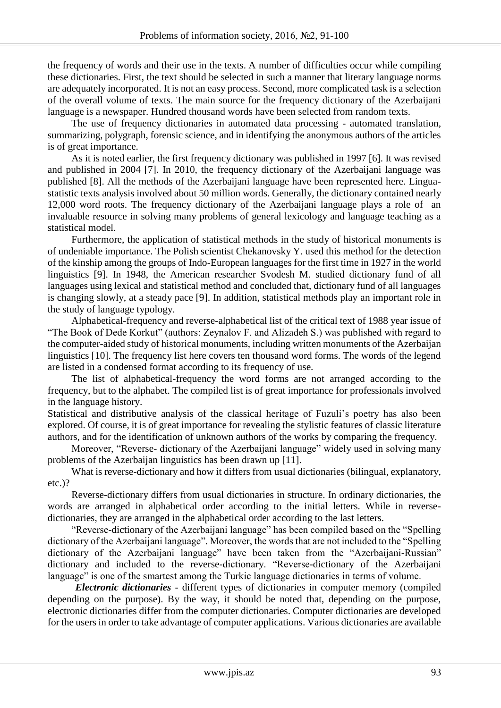the frequency of words and their use in the texts. A number of difficulties occur while compiling these dictionaries. First, the text should be selected in such a manner that literary language norms are adequately incorporated. It is not an easy process. Second, more complicated task is a selection of the overall volume of texts. The main source for the frequency dictionary of the Azerbaijani language is a newspaper. Hundred thousand words have been selected from random texts.

The use of frequency dictionaries in automated data processing - automated translation, summarizing, polygraph, forensic science, and in identifying the anonymous authors of the articles is of great importance.

As it is noted earlier, the first frequency dictionary was published in 1997 [6]. It was revised and published in 2004 [7]. In 2010, the frequency dictionary of the Azerbaijani language was published [8]. All the methods of the Azerbaijani language have been represented here. Linguastatistic texts analysis involved about 50 million words. Generally, the dictionary contained nearly 12,000 word roots. The frequency dictionary of the Azerbaijani language plays a role of an invaluable resource in solving many problems of general lexicology and language teaching as a statistical model.

Furthermore, the application of statistical methods in the study of historical monuments is of undeniable importance. The Polish scientist Chekanovsky Y. used this method for the detection of the kinship among the groups of Indo-European languages for the first time in 1927 in the world linguistics [9]. In 1948, the American researcher Svodesh M. studied dictionary fund of all languages using lexical and statistical method and concluded that, dictionary fund of all languages is changing slowly, at a steady pace [9]. In addition, statistical methods play an important role in the study of language typology.

Alphabetical-frequency and reverse-alphabetical list of the critical text of 1988 year issue of "The Book of Dede Korkut" (authors: Zeynalov F. and Alizadeh S.) was published with regard to the computer-aided study of historical monuments, including written monuments of the Azerbaijan linguistics [10]. The frequency list here covers ten thousand word forms. The words of the legend are listed in a condensed format according to its frequency of use.

The list of alphabetical-frequency the word forms are not arranged according to the frequency, but to the alphabet. The compiled list is of great importance for professionals involved in the language history.

Statistical and distributive analysis of the classical heritage of Fuzuli's poetry has also been explored. Of course, it is of great importance for revealing the stylistic features of classic literature authors, and for the identification of unknown authors of the works by comparing the frequency.

Moreover, "Reverse- dictionary of the Azerbaijani language" widely used in solving many problems of the Azerbaijan linguistics has been drawn up [11].

What is reverse-dictionary and how it differs from usual dictionaries (bilingual, explanatory, etc.)?

Reverse-dictionary differs from usual dictionaries in structure. In ordinary dictionaries, the words are arranged in alphabetical order according to the initial letters. While in reversedictionaries, they are arranged in the alphabetical order according to the last letters.

"Reverse-dictionary of the Azerbaijani language" has been compiled based on the "Spelling dictionary of the Azerbaijani language". Moreover, the words that are not included to the "Spelling dictionary of the Azerbaijani language" have been taken from the "Azerbaijani-Russian" dictionary and included to the reverse-dictionary. "Reverse-dictionary of the Azerbaijani language" is one of the smartest among the Turkic language dictionaries in terms of volume.

*Electronic dictionaries* - different types of dictionaries in computer memory (compiled depending on the purpose). By the way, it should be noted that, depending on the purpose, electronic dictionaries differ from the computer dictionaries. Computer dictionaries are developed for the users in order to take advantage of computer applications. Various dictionaries are available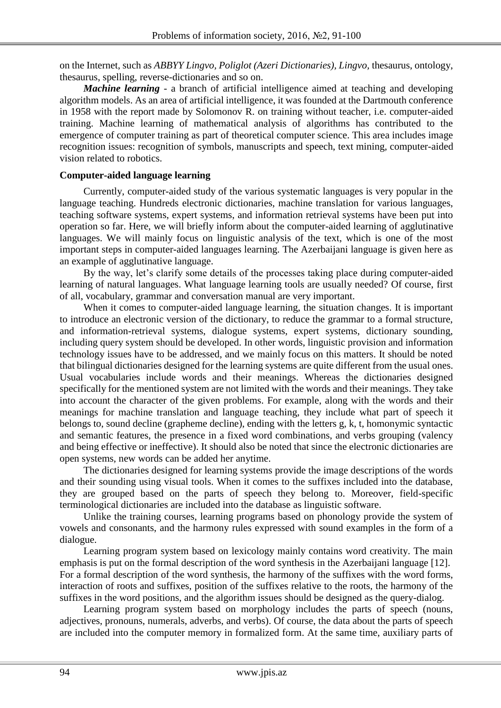on the Internet, such as *ABBYY Lingvo, Poliglot (Azeri Dictionaries), Lingvo,* thesaurus, ontology, thesaurus, spelling, reverse-dictionaries and so on.

*Machine learning* - a branch of artificial intelligence aimed at teaching and developing algorithm models. As an area of artificial intelligence, it was founded at the Dartmouth conference in 1958 with the report made by Solomonov R. on training without teacher, i.e. computer-aided training. Machine learning of mathematical analysis of algorithms has contributed to the emergence of computer training as part of theoretical computer science. This area includes image recognition issues: recognition of symbols, manuscripts and speech, text mining, computer-aided vision related to robotics.

## **Computer-aided language learning**

Currently, computer-aided study of the various systematic languages is very popular in the language teaching. Hundreds electronic dictionaries, machine translation for various languages, teaching software systems, expert systems, and information retrieval systems have been put into operation so far. Here, we will briefly inform about the computer-aided learning of agglutinative languages. We will mainly focus on linguistic analysis of the text, which is one of the most important steps in computer-aided languages learning. The Azerbaijani language is given here as an example of agglutinative language.

By the way, let's clarify some details of the processes taking place during computer-aided learning of natural languages. What language learning tools are usually needed? Of course, first of all, vocabulary, grammar and conversation manual are very important.

When it comes to computer-aided language learning, the situation changes. It is important to introduce an electronic version of the dictionary, to reduce the grammar to a formal structure, and information-retrieval systems, dialogue systems, expert systems, dictionary sounding, including query system should be developed. In other words, linguistic provision and information technology issues have to be addressed, and we mainly focus on this matters. It should be noted that bilingual dictionaries designed for the learning systems are quite different from the usual ones. Usual vocabularies include words and their meanings. Whereas the dictionaries designed specifically for the mentioned system are not limited with the words and their meanings. They take into account the character of the given problems. For example, along with the words and their meanings for machine translation and language teaching, they include what part of speech it belongs to, sound decline (grapheme decline), ending with the letters g, k, t, homonymic syntactic and semantic features, the presence in a fixed word combinations, and verbs grouping (valency and being effective or ineffective). It should also be noted that since the electronic dictionaries are open systems, new words can be added her anytime.

The dictionaries designed for learning systems provide the image descriptions of the words and their sounding using visual tools. When it comes to the suffixes included into the database, they are grouped based on the parts of speech they belong to. Moreover, field-specific terminological dictionaries are included into the database as linguistic software.

Unlike the training courses, learning programs based on phonology provide the system of vowels and consonants, and the harmony rules expressed with sound examples in the form of a dialogue.

Learning program system based on lexicology mainly contains word creativity. The main emphasis is put on the formal description of the word synthesis in the Azerbaijani language [12]. For a formal description of the word synthesis, the harmony of the suffixes with the word forms, interaction of roots and suffixes, position of the suffixes relative to the roots, the harmony of the suffixes in the word positions, and the algorithm issues should be designed as the query-dialog.

Learning program system based on morphology includes the parts of speech (nouns, adjectives, pronouns, numerals, adverbs, and verbs). Of course, the data about the parts of speech are included into the computer memory in formalized form. At the same time, auxiliary parts of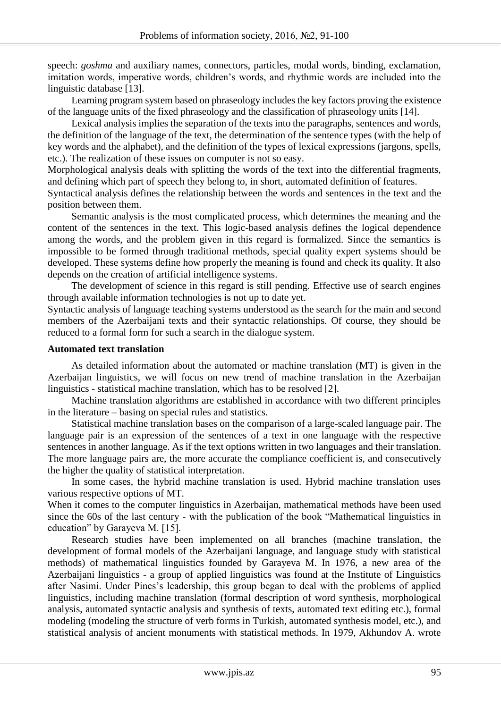speech: *goshma* and auxiliary names, connectors, particles, modal words, binding, exclamation, imitation words, imperative words, children's words, and rhythmic words are included into the linguistic database [13].

Learning program system based on phraseology includes the key factors proving the existence of the language units of the fixed phraseology and the classification of phraseology units [14].

Lexical analysis implies the separation of the texts into the paragraphs, sentences and words, the definition of the language of the text, the determination of the sentence types (with the help of key words and the alphabet), and the definition of the types of lexical expressions (jargons, spells, etc.). The realization of these issues on computer is not so easy.

Morphological analysis deals with splitting the words of the text into the differential fragments, and defining which part of speech they belong to, in short, automated definition of features.

Syntactical analysis defines the relationship between the words and sentences in the text and the position between them.

Semantic analysis is the most complicated process, which determines the meaning and the content of the sentences in the text. This logic-based analysis defines the logical dependence among the words, and the problem given in this regard is formalized. Since the semantics is impossible to be formed through traditional methods, special quality expert systems should be developed. These systems define how properly the meaning is found and check its quality. It also depends on the creation of artificial intelligence systems.

The development of science in this regard is still pending. Effective use of search engines through available information technologies is not up to date yet.

Syntactic analysis of language teaching systems understood as the search for the main and second members of the Azerbaijani texts and their syntactic relationships. Of course, they should be reduced to a formal form for such a search in the dialogue system.

## **Automated text translation**

As detailed information about the automated or machine translation (MT) is given in the Azerbaijan linguistics, we will focus on new trend of machine translation in the Azerbaijan linguistics - statistical machine translation, which has to be resolved [2].

Machine translation algorithms are established in accordance with two different principles in the literature – basing on special rules and statistics.

Statistical machine translation bases on the comparison of a large-scaled language pair. The language pair is an expression of the sentences of a text in one language with the respective sentences in another language. As if the text options written in two languages and their translation. The more language pairs are, the more accurate the compliance coefficient is, and consecutively the higher the quality of statistical interpretation.

In some cases, the hybrid machine translation is used. Hybrid machine translation uses various respective options of MT.

When it comes to the computer linguistics in Azerbaijan, mathematical methods have been used since the 60s of the last century - with the publication of the book "Mathematical linguistics in education" by Garayeva M. [15].

Research studies have been implemented on all branches (machine translation, the development of formal models of the Azerbaijani language, and language study with statistical methods) of mathematical linguistics founded by Garayeva M. In 1976, a new area of the Azerbaijani linguistics - a group of applied linguistics was found at the Institute of Linguistics after Nasimi. Under Pines's leadership, this group began to deal with the problems of applied linguistics, including machine translation (formal description of word synthesis, morphological analysis, automated syntactic analysis and synthesis of texts, automated text editing etc.), formal modeling (modeling the structure of verb forms in Turkish, automated synthesis model, etc.), and statistical analysis of ancient monuments with statistical methods. In 1979, Akhundov A. wrote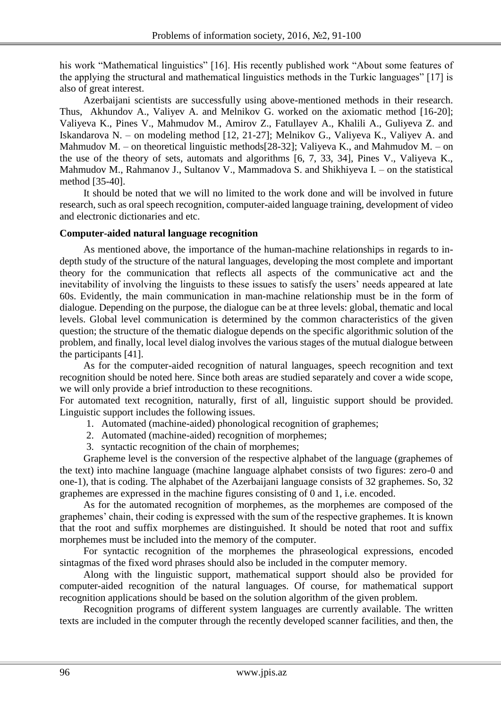his work "Mathematical linguistics" [16]. His recently published work "About some features of the applying the structural and mathematical linguistics methods in the Turkic languages" [17] is also of great interest.

Azerbaijani scientists are successfully using above-mentioned methods in their research. Thus, Akhundov A., Valiyev A. and Melnikov G. worked on the axiomatic method [16-20]; Valiyeva K., Pines V., Mahmudov M., Amirov Z., Fatullayev A., Khalili A., Guliyeva Z. and Iskandarova N. – on modeling method [12, 21-27]; Melnikov G., Valiyeva K., Valiyev A. and Mahmudov M. – on theoretical linguistic methods [28-32]; Valiyeva K., and Mahmudov M. – on the use of the theory of sets, automats and algorithms [6, 7, 33, 34], Pines V., Valiyeva K., Mahmudov M., Rahmanov J., Sultanov V., Mammadova S. and Shikhiyeva I. – on the statistical method [35-40].

It should be noted that we will no limited to the work done and will be involved in future research, such as oral speech recognition, computer-aided language training, development of video and electronic dictionaries and etc.

# **Computer-aided natural language recognition**

As mentioned above, the importance of the human-machine relationships in regards to indepth study of the structure of the natural languages, developing the most complete and important theory for the communication that reflects all aspects of the communicative act and the inevitability of involving the linguists to these issues to satisfy the users' needs appeared at late 60s. Evidently, the main communication in man-machine relationship must be in the form of dialogue. Depending on the purpose, the dialogue can be at three levels: global, thematic and local levels. Global level communication is determined by the common characteristics of the given question; the structure of the thematic dialogue depends on the specific algorithmic solution of the problem, and finally, local level dialog involves the various stages of the mutual dialogue between the participants [41].

As for the computer-aided recognition of natural languages, speech recognition and text recognition should be noted here. Since both areas are studied separately and cover a wide scope, we will only provide a brief introduction to these recognitions.

For automated text recognition, naturally, first of all, linguistic support should be provided. Linguistic support includes the following issues.

- 1. Automated (machine-aided) phonological recognition of graphemes;
- 2. Automated (machine-aided) recognition of morphemes;
- 3. syntactic recognition of the chain of morphemes;

Grapheme level is the conversion of the respective alphabet of the language (graphemes of the text) into machine language (machine language alphabet consists of two figures: zero-0 and one-1), that is coding. The alphabet of the Azerbaijani language consists of 32 graphemes. So, 32 graphemes are expressed in the machine figures consisting of 0 and 1, i.e. encoded.

As for the automated recognition of morphemes, as the morphemes are composed of the graphemes' chain, their coding is expressed with the sum of the respective graphemes. It is known that the root and suffix morphemes are distinguished. It should be noted that root and suffix morphemes must be included into the memory of the computer.

For syntactic recognition of the morphemes the phraseological expressions, encoded sintagmas of the fixed word phrases should also be included in the computer memory.

Along with the linguistic support, mathematical support should also be provided for computer-aided recognition of the natural languages. Of course, for mathematical support recognition applications should be based on the solution algorithm of the given problem.

Recognition programs of different system languages are currently available. The written texts are included in the computer through the recently developed scanner facilities, and then, the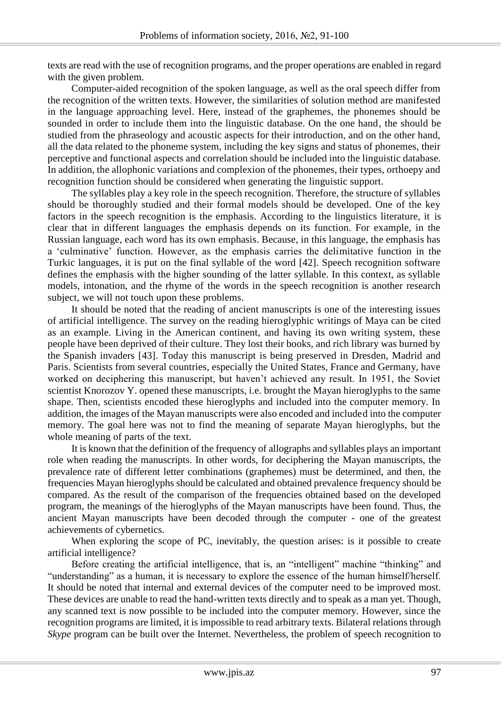texts are read with the use of recognition programs, and the proper operations are enabled in regard with the given problem.

Computer-aided recognition of the spoken language, as well as the oral speech differ from the recognition of the written texts. However, the similarities of solution method are manifested in the language approaching level. Here, instead of the graphemes, the phonemes should be sounded in order to include them into the linguistic database. On the one hand, the should be studied from the phraseology and acoustic aspects for their introduction, and on the other hand, all the data related to the phoneme system, including the key signs and status of phonemes, their perceptive and functional aspects and correlation should be included into the linguistic database. In addition, the allophonic variations and complexion of the phonemes, their types, orthoepy and recognition function should be considered when generating the linguistic support.

The syllables play a key role in the speech recognition. Therefore, the structure of syllables should be thoroughly studied and their formal models should be developed. One of the key factors in the speech recognition is the emphasis. According to the linguistics literature, it is clear that in different languages the emphasis depends on its function. For example, in the Russian language, each word has its own emphasis. Because, in this language, the emphasis has a 'culminative' function. However, as the emphasis carries the delimitative function in the Turkic languages, it is put on the final syllable of the word [42]. Speech recognition software defines the emphasis with the higher sounding of the latter syllable. In this context, as syllable models, intonation, and the rhyme of the words in the speech recognition is another research subject, we will not touch upon these problems.

It should be noted that the reading of ancient manuscripts is one of the interesting issues of artificial intelligence. The survey on the reading hieroglyphic writings of Maya can be cited as an example. Living in the American continent, and having its own writing system, these people have been deprived of their culture. They lost their books, and rich library was burned by the Spanish invaders [43]. Today this manuscript is being preserved in Dresden, Madrid and Paris. Scientists from several countries, especially the United States, France and Germany, have worked on deciphering this manuscript, but haven't achieved any result. In 1951, the Soviet scientist Knorozov Y. opened these manuscripts, i.e. brought the Mayan hieroglyphs to the same shape. Then, scientists encoded these hieroglyphs and included into the computer memory. In addition, the images of the Mayan manuscripts were also encoded and included into the computer memory. The goal here was not to find the meaning of separate Mayan hieroglyphs, but the whole meaning of parts of the text.

It is known that the definition of the frequency of allographs and syllables plays an important role when reading the manuscripts. In other words, for deciphering the Mayan manuscripts, the prevalence rate of different letter combinations (graphemes) must be determined, and then, the frequencies Mayan hieroglyphs should be calculated and obtained prevalence frequency should be compared. As the result of the comparison of the frequencies obtained based on the developed program, the meanings of the hieroglyphs of the Mayan manuscripts have been found. Thus, the ancient Mayan manuscripts have been decoded through the computer - one of the greatest achievements of cybernetics.

When exploring the scope of PC, inevitably, the question arises: is it possible to create artificial intelligence?

Before creating the artificial intelligence, that is, an "intelligent" machine "thinking" and "understanding" as a human, it is necessary to explore the essence of the human himself/herself. It should be noted that internal and external devices of the computer need to be improved most. These devices are unable to read the hand-written texts directly and to speak as a man yet. Though, any scanned text is now possible to be included into the computer memory. However, since the recognition programs are limited, it is impossible to read arbitrary texts. Bilateral relations through *Skype* program can be built over the Internet. Nevertheless, the problem of speech recognition to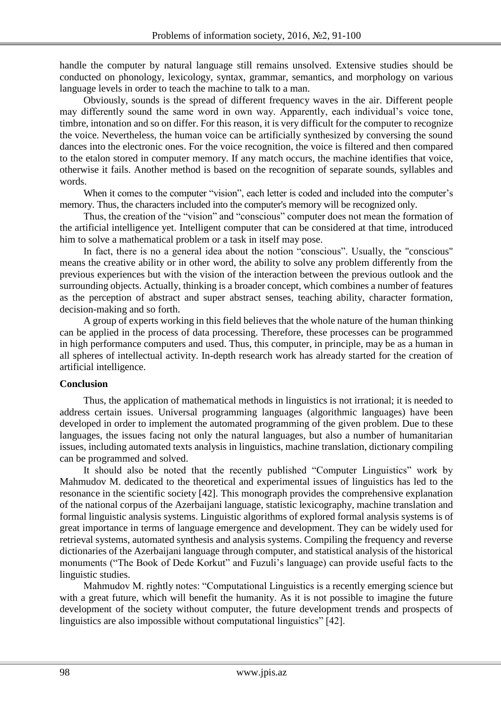handle the computer by natural language still remains unsolved. Extensive studies should be conducted on phonology, lexicology, syntax, grammar, semantics, and morphology on various language levels in order to teach the machine to talk to a man.

Obviously, sounds is the spread of different frequency waves in the air. Different people may differently sound the same word in own way. Apparently, each individual's voice tone, timbre, intonation and so on differ. For this reason, it is very difficult for the computer to recognize the voice. Nevertheless, the human voice can be artificially synthesized by conversing the sound dances into the electronic ones. For the voice recognition, the voice is filtered and then compared to the etalon stored in computer memory. If any match occurs, the machine identifies that voice, otherwise it fails. Another method is based on the recognition of separate sounds, syllables and words.

When it comes to the computer "vision", each letter is coded and included into the computer's memory. Thus, the characters included into the computer's memory will be recognized only.

Thus, the creation of the "vision" and "conscious" computer does not mean the formation of the artificial intelligence yet. Intelligent computer that can be considered at that time, introduced him to solve a mathematical problem or a task in itself may pose.

In fact, there is no a general idea about the notion "conscious". Usually, the "conscious" means the creative ability or in other word, the ability to solve any problem differently from the previous experiences but with the vision of the interaction between the previous outlook and the surrounding objects. Actually, thinking is a broader concept, which combines a number of features as the perception of abstract and super abstract senses, teaching ability, character formation, decision-making and so forth.

A group of experts working in this field believes that the whole nature of the human thinking can be applied in the process of data processing. Therefore, these processes can be programmed in high performance computers and used. Thus, this computer, in principle, may be as a human in all spheres of intellectual activity. In-depth research work has already started for the creation of artificial intelligence.

## **Conclusion**

Thus, the application of mathematical methods in linguistics is not irrational; it is needed to address certain issues. Universal programming languages (algorithmic languages) have been developed in order to implement the automated programming of the given problem. Due to these languages, the issues facing not only the natural languages, but also a number of humanitarian issues, including automated texts analysis in linguistics, machine translation, dictionary compiling can be programmed and solved.

It should also be noted that the recently published "Computer Linguistics" work by Mahmudov M. dedicated to the theoretical and experimental issues of linguistics has led to the resonance in the scientific society [42]. This monograph provides the comprehensive explanation of the national corpus of the Azerbaijani language, statistic lexicography, machine translation and formal linguistic analysis systems. Linguistic algorithms of explored formal analysis systems is of great importance in terms of language emergence and development. They can be widely used for retrieval systems, automated synthesis and analysis systems. Compiling the frequency and reverse dictionaries of the Azerbaijani language through computer, and statistical analysis of the historical monuments ("The Book of Dede Korkut" and Fuzuli's language) can provide useful facts to the linguistic studies.

Mahmudov M. rightly notes: "Computational Linguistics is a recently emerging science but with a great future, which will benefit the humanity. As it is not possible to imagine the future development of the society without computer, the future development trends and prospects of linguistics are also impossible without computational linguistics" [42].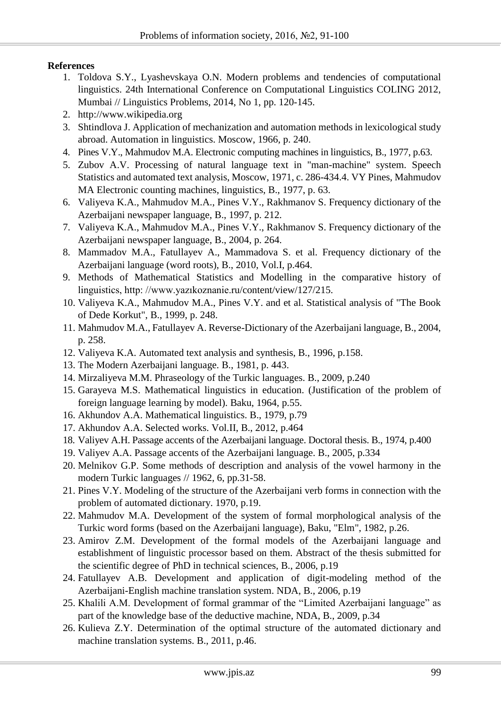# **References**

- 1. Toldova S.Y., Lyashevskaya O.N. Modern problems and tendencies of computational linguistics. 24th International Conference on Computational Linguistics COLING 2012, Mumbai // Linguistics Problems, 2014, No 1, pp. 120-145.
- 2. http://www.wikipedia.org
- 3. Shtindlova J. Application of mechanization and automation methods in lexicological study abroad. Automation in linguistics. Moscow, 1966, p. 240.
- 4. Pines V.Y., Mahmudov M.A. Electronic computing machines in linguistics, B., 1977, p.63.
- 5. Zubov A.V. Processing of natural language text in "man-machine" system. Speech Statistics and automated text analysis, Moscow, 1971, c. 286-434.4. VY Pines, Mahmudov MA Electronic counting machines, linguistics, B., 1977, p. 63.
- 6. Valiyeva K.A., Mahmudov M.A., Pines V.Y., Rakhmanov S. Frequency dictionary of the Azerbaijani newspaper language, B., 1997, p. 212.
- 7. Valiyeva K.A., Mahmudov M.A., Pines V.Y., Rakhmanov S. Frequency dictionary of the Azerbaijani newspaper language, B., 2004, p. 264.
- 8. Mammadov M.A., Fatullayev A., Mammadova S. et al. Frequency dictionary of the Azerbaijani language (word roots), B., 2010, Vol.I, p.464.
- 9. Methods of Mathematical Statistics and Modelling in the comparative history of linguistics, http: //www.yazıkoznanie.ru/content/view/127/215.
- 10. Valiyeva K.A., Mahmudov M.A., Pines V.Y. and et al. Statistical analysis of "The Book of Dede Korkut", B., 1999, p. 248.
- 11. Mahmudov M.A., Fatullayev A. Reverse-Dictionary of the Azerbaijani language, B., 2004, p. 258.
- 12. Valiyeva K.A. Automated text analysis and synthesis, B., 1996, p.158.
- 13. The Modern Azerbaijani language. B., 1981, p. 443.
- 14. Mirzaliyeva M.M. Phraseology of the Turkic languages. B., 2009, p.240
- 15. Garayeva M.S. Mathematical linguistics in education. (Justification of the problem of foreign language learning by model). Baku, 1964, p.55.
- 16. Akhundov A.A. Mathematical linguistics. B., 1979, p.79
- 17. Akhundov A.A. Selected works. Vol.II, B., 2012, p.464
- 18. Valiyev A.H. Passage accents of the Azerbaijani language. Doctoral thesis. B., 1974, p.400
- 19. Valiyev A.A. Passage accents of the Azerbaijani language. B., 2005, p.334
- 20. Melnikov G.P. Some methods of description and analysis of the vowel harmony in the modern Turkic languages // 1962, 6, pp.31-58.
- 21. Pines V.Y. Modeling of the structure of the Azerbaijani verb forms in connection with the problem of automated dictionary. 1970, p.19.
- 22. Mahmudov M.A. Development of the system of formal morphological analysis of the Turkic word forms (based on the Azerbaijani language), Baku, "Elm", 1982, p.26.
- 23. Amirov Z.M. Development of the formal models of the Azerbaijani language and establishment of linguistic processor based on them. Abstract of the thesis submitted for the scientific degree of PhD in technical sciences, B., 2006, p.19
- 24. Fatullayev A.B. Development and application of digit-modeling method of the Azerbaijani-English machine translation system. NDA, B., 2006, p.19
- 25. Khalili A.M. Development of formal grammar of the "Limited Azerbaijani language" as part of the knowledge base of the deductive machine, NDA, B., 2009, p.34
- 26. Kulieva Z.Y. Determination of the optimal structure of the automated dictionary and machine translation systems. B., 2011, p.46.